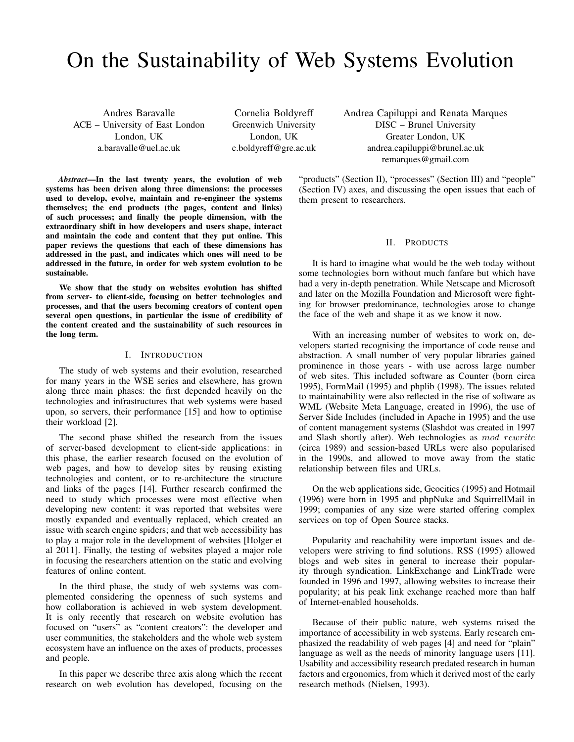# On the Sustainability of Web Systems Evolution

Andres Baravalle ACE – University of East London London, UK a.baravalle@uel.ac.uk

Cornelia Boldyreff Greenwich University London, UK c.boldyreff@gre.ac.uk Andrea Capiluppi and Renata Marques DISC – Brunel University Greater London, UK andrea.capiluppi@brunel.ac.uk remarques@gmail.com

*Abstract*—In the last twenty years, the evolution of web systems has been driven along three dimensions: the processes used to develop, evolve, maintain and re-engineer the systems themselves; the end products (the pages, content and links) of such processes; and finally the people dimension, with the extraordinary shift in how developers and users shape, interact and maintain the code and content that they put online. This paper reviews the questions that each of these dimensions has addressed in the past, and indicates which ones will need to be addressed in the future, in order for web system evolution to be sustainable.

We show that the study on websites evolution has shifted from server- to client-side, focusing on better technologies and processes, and that the users becoming creators of content open several open questions, in particular the issue of credibility of the content created and the sustainability of such resources in the long term.

# I. INTRODUCTION

The study of web systems and their evolution, researched for many years in the WSE series and elsewhere, has grown along three main phases: the first depended heavily on the technologies and infrastructures that web systems were based upon, so servers, their performance [15] and how to optimise their workload [2].

The second phase shifted the research from the issues of server-based development to client-side applications: in this phase, the earlier research focused on the evolution of web pages, and how to develop sites by reusing existing technologies and content, or to re-architecture the structure and links of the pages [14]. Further research confirmed the need to study which processes were most effective when developing new content: it was reported that websites were mostly expanded and eventually replaced, which created an issue with search engine spiders; and that web accessibility has to play a major role in the development of websites [Holger et al 2011]. Finally, the testing of websites played a major role in focusing the researchers attention on the static and evolving features of online content.

In the third phase, the study of web systems was complemented considering the openness of such systems and how collaboration is achieved in web system development. It is only recently that research on website evolution has focused on "users" as "content creators": the developer and user communities, the stakeholders and the whole web system ecosystem have an influence on the axes of products, processes and people.

In this paper we describe three axis along which the recent research on web evolution has developed, focusing on the "products" (Section II), "processes" (Section III) and "people" (Section IV) axes, and discussing the open issues that each of them present to researchers.

### II. PRODUCTS

It is hard to imagine what would be the web today without some technologies born without much fanfare but which have had a very in-depth penetration. While Netscape and Microsoft and later on the Mozilla Foundation and Microsoft were fighting for browser predominance, technologies arose to change the face of the web and shape it as we know it now.

With an increasing number of websites to work on, developers started recognising the importance of code reuse and abstraction. A small number of very popular libraries gained prominence in those years - with use across large number of web sites. This included software as Counter (born circa 1995), FormMail (1995) and phplib (1998). The issues related to maintainability were also reflected in the rise of software as WML (Website Meta Language, created in 1996), the use of Server Side Includes (included in Apache in 1995) and the use of content management systems (Slashdot was created in 1997 and Slash shortly after). Web technologies as  $mod\_rewrite$ (circa 1989) and session-based URLs were also popularised in the 1990s, and allowed to move away from the static relationship between files and URLs.

On the web applications side, Geocities (1995) and Hotmail (1996) were born in 1995 and phpNuke and SquirrellMail in 1999; companies of any size were started offering complex services on top of Open Source stacks.

Popularity and reachability were important issues and developers were striving to find solutions. RSS (1995) allowed blogs and web sites in general to increase their popularity through syndication. LinkExchange and LinkTrade were founded in 1996 and 1997, allowing websites to increase their popularity; at his peak link exchange reached more than half of Internet-enabled households.

Because of their public nature, web systems raised the importance of accessibility in web systems. Early research emphasized the readability of web pages [4] and need for "plain" language as well as the needs of minority language users [11]. Usability and accessibility research predated research in human factors and ergonomics, from which it derived most of the early research methods (Nielsen, 1993).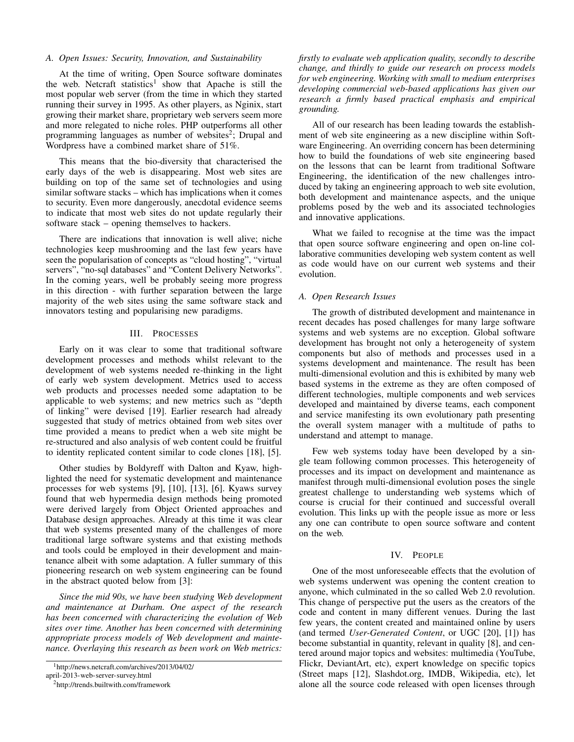#### *A. Open Issues: Security, Innovation, and Sustainability*

At the time of writing, Open Source software dominates the web. Netcraft statistics<sup>1</sup> show that Apache is still the most popular web server (from the time in which they started running their survey in 1995. As other players, as Nginix, start growing their market share, proprietary web servers seem more and more relegated to niche roles. PHP outperforms all other programming languages as number of websites<sup>2</sup>; Drupal and Wordpress have a combined market share of 51%.

This means that the bio-diversity that characterised the early days of the web is disappearing. Most web sites are building on top of the same set of technologies and using similar software stacks – which has implications when it comes to security. Even more dangerously, anecdotal evidence seems to indicate that most web sites do not update regularly their software stack – opening themselves to hackers.

There are indications that innovation is well alive; niche technologies keep mushrooming and the last few years have seen the popularisation of concepts as "cloud hosting", "virtual servers", "no-sql databases" and "Content Delivery Networks". In the coming years, well be probably seeing more progress in this direction - with further separation between the large majority of the web sites using the same software stack and innovators testing and popularising new paradigms.

## III. PROCESSES

Early on it was clear to some that traditional software development processes and methods whilst relevant to the development of web systems needed re-thinking in the light of early web system development. Metrics used to access web products and processes needed some adaptation to be applicable to web systems; and new metrics such as "depth of linking" were devised [19]. Earlier research had already suggested that study of metrics obtained from web sites over time provided a means to predict when a web site might be re-structured and also analysis of web content could be fruitful to identity replicated content similar to code clones [18], [5].

Other studies by Boldyreff with Dalton and Kyaw, highlighted the need for systematic development and maintenance processes for web systems [9], [10], [13], [6]. Kyaws survey found that web hypermedia design methods being promoted were derived largely from Object Oriented approaches and Database design approaches. Already at this time it was clear that web systems presented many of the challenges of more traditional large software systems and that existing methods and tools could be employed in their development and maintenance albeit with some adaptation. A fuller summary of this pioneering research on web system engineering can be found in the abstract quoted below from [3]:

*Since the mid 90s, we have been studying Web development and maintenance at Durham. One aspect of the research has been concerned with characterizing the evolution of Web sites over time. Another has been concerned with determining appropriate process models of Web development and maintenance. Overlaying this research as been work on Web metrics:*

*firstly to evaluate web application quality, secondly to describe change, and thirdly to guide our research on process models for web engineering. Working with small to medium enterprises developing commercial web-based applications has given our research a firmly based practical emphasis and empirical grounding.*

All of our research has been leading towards the establishment of web site engineering as a new discipline within Software Engineering. An overriding concern has been determining how to build the foundations of web site engineering based on the lessons that can be learnt from traditional Software Engineering, the identification of the new challenges introduced by taking an engineering approach to web site evolution, both development and maintenance aspects, and the unique problems posed by the web and its associated technologies and innovative applications.

What we failed to recognise at the time was the impact that open source software engineering and open on-line collaborative communities developing web system content as well as code would have on our current web systems and their evolution.

### *A. Open Research Issues*

The growth of distributed development and maintenance in recent decades has posed challenges for many large software systems and web systems are no exception. Global software development has brought not only a heterogeneity of system components but also of methods and processes used in a systems development and maintenance. The result has been multi-dimensional evolution and this is exhibited by many web based systems in the extreme as they are often composed of different technologies, multiple components and web services developed and maintained by diverse teams, each component and service manifesting its own evolutionary path presenting the overall system manager with a multitude of paths to understand and attempt to manage.

Few web systems today have been developed by a single team following common processes. This heterogeneity of processes and its impact on development and maintenance as manifest through multi-dimensional evolution poses the single greatest challenge to understanding web systems which of course is crucial for their continued and successful overall evolution. This links up with the people issue as more or less any one can contribute to open source software and content on the web.

#### IV. PEOPLE

One of the most unforeseeable effects that the evolution of web systems underwent was opening the content creation to anyone, which culminated in the so called Web 2.0 revolution. This change of perspective put the users as the creators of the code and content in many different venues. During the last few years, the content created and maintained online by users (and termed *User-Generated Content*, or UGC [20], [1]) has become substantial in quantity, relevant in quality [8], and centered around major topics and websites: multimedia (YouTube, Flickr, DeviantArt, etc), expert knowledge on specific topics (Street maps [12], Slashdot.org, IMDB, Wikipedia, etc), let alone all the source code released with open licenses through

<sup>1</sup>http://news.netcraft.com/archives/2013/04/02/

april-2013-web-server-survey.html

<sup>2</sup>http://trends.builtwith.com/framework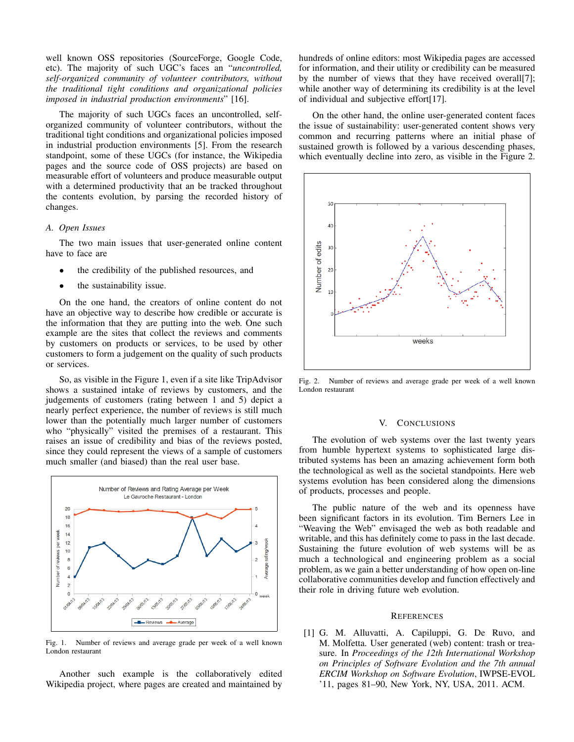well known OSS repositories (SourceForge, Google Code, etc). The majority of such UGC's faces an "*uncontrolled, self-organized community of volunteer contributors, without the traditional tight conditions and organizational policies imposed in industrial production environments*" [16].

The majority of such UGCs faces an uncontrolled, selforganized community of volunteer contributors, without the traditional tight conditions and organizational policies imposed in industrial production environments [5]. From the research standpoint, some of these UGCs (for instance, the Wikipedia pages and the source code of OSS projects) are based on measurable effort of volunteers and produce measurable output with a determined productivity that an be tracked throughout the contents evolution, by parsing the recorded history of changes.

# *A. Open Issues*

The two main issues that user-generated online content have to face are

- the credibility of the published resources, and
- the sustainability issue.

On the one hand, the creators of online content do not have an objective way to describe how credible or accurate is the information that they are putting into the web. One such example are the sites that collect the reviews and comments by customers on products or services, to be used by other customers to form a judgement on the quality of such products or services.

So, as visible in the Figure 1, even if a site like TripAdvisor shows a sustained intake of reviews by customers, and the judgements of customers (rating between 1 and 5) depict a nearly perfect experience, the number of reviews is still much lower than the potentially much larger number of customers who "physically" visited the premises of a restaurant. This raises an issue of credibility and bias of the reviews posted, since they could represent the views of a sample of customers much smaller (and biased) than the real user base.



Fig. 1. Number of reviews and average grade per week of a well known London restaurant

Another such example is the collaboratively edited Wikipedia project, where pages are created and maintained by hundreds of online editors: most Wikipedia pages are accessed for information, and their utility or credibility can be measured by the number of views that they have received overall[7]; while another way of determining its credibility is at the level of individual and subjective effort[17].

On the other hand, the online user-generated content faces the issue of sustainability: user-generated content shows very common and recurring patterns where an initial phase of sustained growth is followed by a various descending phases, which eventually decline into zero, as visible in the Figure 2.



Fig. 2. Number of reviews and average grade per week of a well known London restaurant

### V. CONCLUSIONS

The evolution of web systems over the last twenty years from humble hypertext systems to sophisticated large distributed systems has been an amazing achievement form both the technological as well as the societal standpoints. Here web systems evolution has been considered along the dimensions of products, processes and people.

The public nature of the web and its openness have been significant factors in its evolution. Tim Berners Lee in "Weaving the Web" envisaged the web as both readable and writable, and this has definitely come to pass in the last decade. Sustaining the future evolution of web systems will be as much a technological and engineering problem as a social problem, as we gain a better understanding of how open on-line collaborative communities develop and function effectively and their role in driving future web evolution.

#### **REFERENCES**

[1] G. M. Alluvatti, A. Capiluppi, G. De Ruvo, and M. Molfetta. User generated (web) content: trash or treasure. In *Proceedings of the 12th International Workshop on Principles of Software Evolution and the 7th annual ERCIM Workshop on Software Evolution*, IWPSE-EVOL '11, pages 81–90, New York, NY, USA, 2011. ACM.